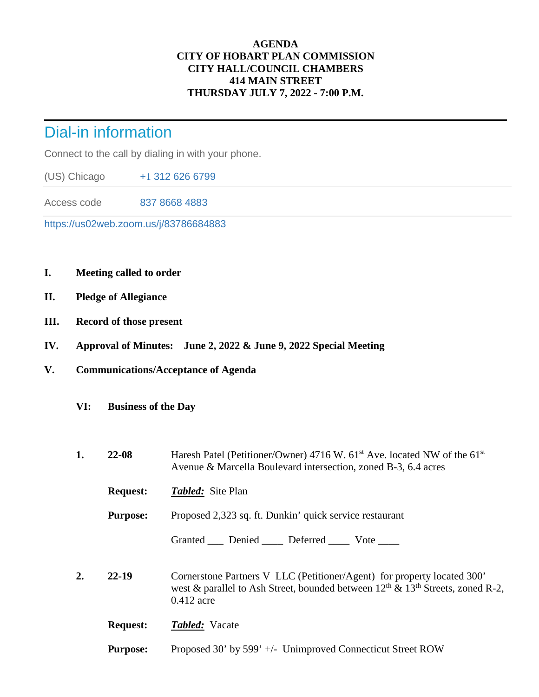## **AGENDA CITY OF HOBART PLAN COMMISSION CITY HALL/COUNCIL CHAMBERS 414 MAIN STREET THURSDAY JULY 7, 2022 - 7:00 P.M.**

## Dial-in information

Connect to the call by dialing in with your phone.

(US) Chicago +[1](tel:+17172758940,,216%201165) 312 626 6799

Access code 837 8668 4883

https://us02web.zoom.us/j/83786684883

- **I. Meeting called to order**
- **II. Pledge of Allegiance**
- **III. Record of those present**
- **IV. Approval of Minutes: June 2, 2022 & June 9, 2022 Special Meeting**
- **V. Communications/Acceptance of Agenda** 
	- **VI: Business of the Day**
	- **1. 22-08** Haresh Patel (Petitioner/Owner) 4716 W. 61<sup>st</sup> Ave. located NW of the 61<sup>st</sup> Avenue & Marcella Boulevard intersection, zoned B-3, 6.4 acres
		- **Request:** *Tabled:* Site Plan
		- **Purpose:** Proposed 2,323 sq. ft. Dunkin' quick service restaurant

Granted \_\_\_ Denied \_\_\_\_ Deferred \_\_\_\_ Vote \_\_\_\_

- **2. 22-19** Cornerstone Partners V LLC (Petitioner/Agent) for property located 300' west & parallel to Ash Street, bounded between  $12^{th}$  &  $13^{th}$  Streets, zoned R-2, 0.412 acre
	- **Request:** *Tabled:* Vacate
	- **Purpose:** Proposed 30' by 599' +/- Unimproved Connecticut Street ROW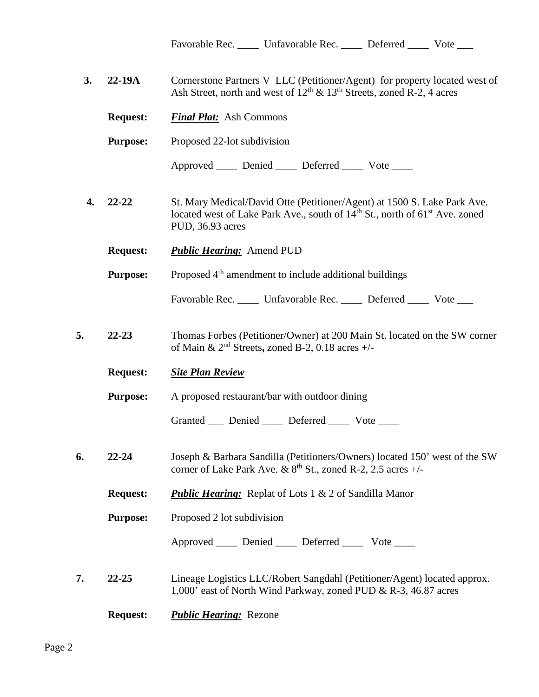Favorable Rec. \_\_\_\_\_ Unfavorable Rec. \_\_\_\_\_ Deferred \_\_\_\_\_ Vote \_\_\_\_

| 3. | $22-19A$        | Cornerstone Partners V LLC (Petitioner/Agent) for property located west of<br>Ash Street, north and west of $12th$ & $13th$ Streets, zoned R-2, 4 acres                                             |
|----|-----------------|-----------------------------------------------------------------------------------------------------------------------------------------------------------------------------------------------------|
|    | <b>Request:</b> | <b>Final Plat:</b> Ash Commons                                                                                                                                                                      |
|    | <b>Purpose:</b> | Proposed 22-lot subdivision                                                                                                                                                                         |
|    |                 | Approved _____ Denied _____ Deferred _____ Vote _____                                                                                                                                               |
| 4. | $22 - 22$       | St. Mary Medical/David Otte (Petitioner/Agent) at 1500 S. Lake Park Ave.<br>located west of Lake Park Ave., south of 14 <sup>th</sup> St., north of 61 <sup>st</sup> Ave. zoned<br>PUD, 36.93 acres |
|    | <b>Request:</b> | <b>Public Hearing:</b> Amend PUD                                                                                                                                                                    |
|    | <b>Purpose:</b> | Proposed 4 <sup>th</sup> amendment to include additional buildings                                                                                                                                  |
|    |                 | Favorable Rec. _____ Unfavorable Rec. _____ Deferred ____ Vote ___                                                                                                                                  |
| 5. | $22 - 23$       | Thomas Forbes (Petitioner/Owner) at 200 Main St. located on the SW corner<br>of Main & $2nd$ Streets, zoned B-2, 0.18 acres +/-                                                                     |
|    | <b>Request:</b> | <b>Site Plan Review</b>                                                                                                                                                                             |
|    | <b>Purpose:</b> | A proposed restaurant/bar with outdoor dining                                                                                                                                                       |
|    |                 | Granted ____ Denied _____ Deferred _____ Vote ____                                                                                                                                                  |
| 6. | $22 - 24$       | Joseph & Barbara Sandilla (Petitioners/Owners) located 150' west of the SW<br>corner of Lake Park Ave. & $8th$ St., zoned R-2, 2.5 acres +/-                                                        |
|    | <b>Request:</b> | <b>Public Hearing:</b> Replat of Lots 1 & 2 of Sandilla Manor                                                                                                                                       |
|    | <b>Purpose:</b> | Proposed 2 lot subdivision                                                                                                                                                                          |
|    |                 | Approved _____ Denied _____ Deferred _____ Vote ____                                                                                                                                                |
| 7. | $22 - 25$       | Lineage Logistics LLC/Robert Sangdahl (Petitioner/Agent) located approx.<br>1,000' east of North Wind Parkway, zoned PUD & R-3, 46.87 acres                                                         |
|    | <b>Request:</b> | <b>Public Hearing:</b> Rezone                                                                                                                                                                       |